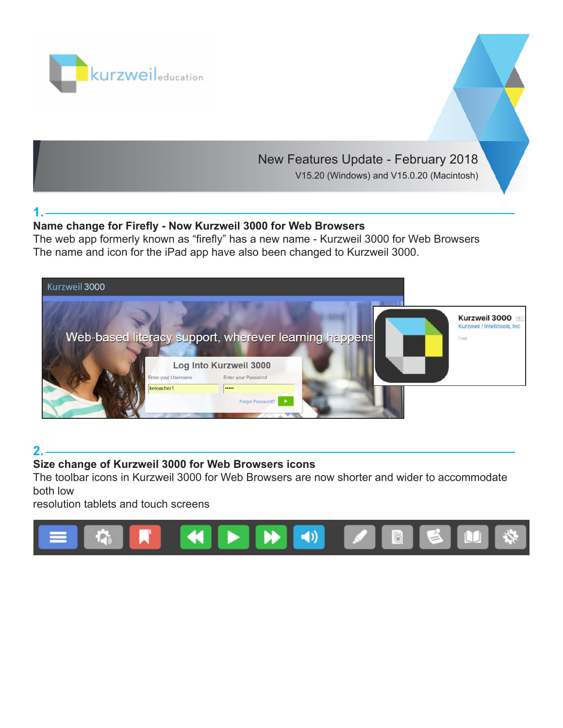

# New Features Update - February 2018

V15.20 (Windows) and V15.0.20 (Macintosh)

## **1.**

## **Name change for Firefly - Now Kurzweil 3000 for Web Browsers**

The web app formerly known as "firefly" has a new name - Kurzweil 3000 for Web Browsers The name and icon for the iPad app have also been changed to Kurzweil 3000.



## **2.**

#### **Size change of Kurzweil 3000 for Web Browsers icons**

The toolbar icons in Kurzweil 3000 for Web Browsers are now shorter and wider to accommodate both low

resolution tablets and touch screens

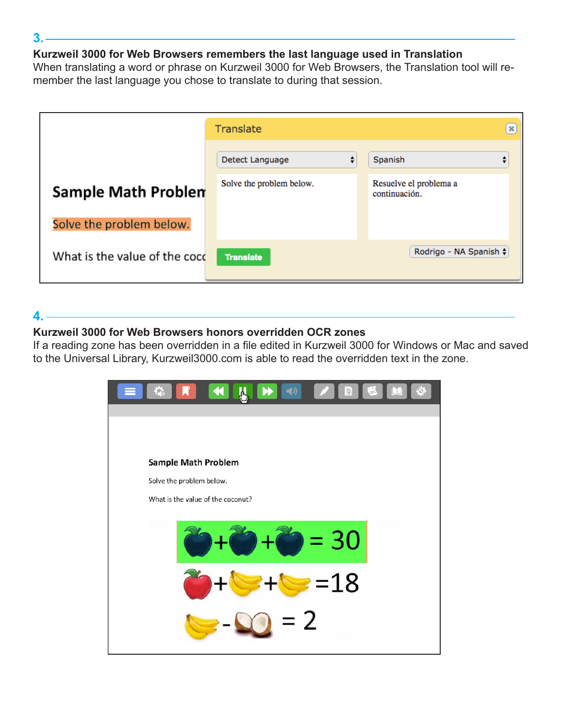#### **Kurzweil 3000 for Web Browsers remembers the last language used in Translation**

When translating a word or phrase on Kurzweil 3000 for Web Browsers, the Translation tool will remember the last language you chose to translate to during that session.

|                               | <b>Translate</b>         |                                         |
|-------------------------------|--------------------------|-----------------------------------------|
|                               | Detect Language<br>÷     | Spanish<br>▼                            |
| <b>Sample Math Problen</b>    | Solve the problem below. | Resuelve el problema a<br>continuación. |
| Solve the problem below.      |                          |                                         |
| What is the value of the cocc | <b>Translate</b>         | Rodrigo - NA Spanish $\div$             |

## **4.**

## **Kurzweil 3000 for Web Browsers honors overridden OCR zones**

If a reading zone has been overridden in a file edited in Kurzweil 3000 for Windows or Mac and saved to the Universal Library, Kurzweil3000.com is able to read the overridden text in the zone.



#### **3.**